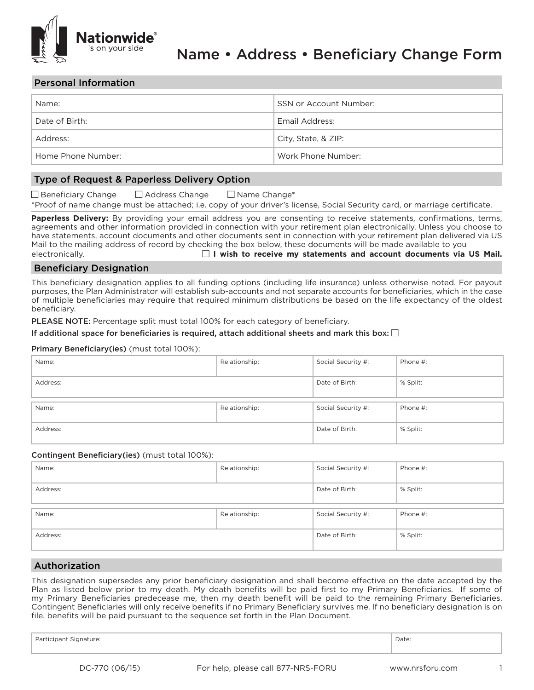

## Personal Information

| Name:              | SSN or Account Number: |
|--------------------|------------------------|
| Date of Birth:     | Email Address:         |
| Address:           | City, State, & ZIP:    |
| Home Phone Number: | Work Phone Number:     |

# Type of Request & Paperless Delivery Option

| □ Beneficiary Change | □ Address Change | $\Box$ Name Change*                                                                                                        |
|----------------------|------------------|----------------------------------------------------------------------------------------------------------------------------|
|                      |                  | *Proof of name change must be attached; i.e. copy of your driver's license, Social Security card, or marriage certificate. |

**Paperless Delivery:** By providing your email address you are consenting to receive statements, confirmations, terms, agreements and other information provided in connection with your retirement plan electronically. Unless you choose to have statements, account documents and other documents sent in connection with your retirement plan delivered via US Mail to the mailing address of record by checking the box below, these documents will be made available to you electronically. **Conserver Communist Communist Communist Communist Communist Communist Communist Communist Communist Communist Communist Communist Communist Communist Communist Communist Communist Communist Communist Commu** 

## Beneficiary Designation

This beneficiary designation applies to all funding options (including life insurance) unless otherwise noted. For payout purposes, the Plan Administrator will establish sub-accounts and not separate accounts for beneficiaries, which in the case of multiple beneficiaries may require that required minimum distributions be based on the life expectancy of the oldest beneficiary.

PLEASE NOTE: Percentage split must total 100% for each category of beneficiary.

#### If additional space for beneficiaries is required, attach additional sheets and mark this box:  $\square$

#### Primary Beneficiary(ies) (must total 100%):

| Name:    | Relationship: | Social Security #: | Phone #: |
|----------|---------------|--------------------|----------|
| Address: |               | Date of Birth:     | % Split: |
| Name:    | Relationship: | Social Security #: | Phone #: |
| Address: |               | Date of Birth:     | % Split: |

#### Contingent Beneficiary(ies) (must total 100%):

| Name:    | Relationship: | Social Security #: | Phone #: |
|----------|---------------|--------------------|----------|
| Address: |               | Date of Birth:     | % Split: |
| Name:    | Relationship: | Social Security #: | Phone #: |
| Address: |               | Date of Birth:     | % Split: |

## Authorization

This designation supersedes any prior beneficiary designation and shall become effective on the date accepted by the Plan as listed below prior to my death. My death benefits will be paid first to my Primary Beneficiaries. If some of my Primary Beneficiaries predecease me, then my death benefit will be paid to the remaining Primary Beneficiaries. Contingent Beneficiaries will only receive benefits if no Primary Beneficiary survives me. If no beneficiary designation is on file, benefits will be paid pursuant to the sequence set forth in the Plan Document.

Participant Signature: Date: Date: Date: Date: Date: Date: Date: Date: Date: Date: Date: Date: Date: Date: Date: Date: Date: Date: Date: Date: Date: Date: Date: Date: Date: Date: Date: Date: Date: Date: Date: Date: Date: D